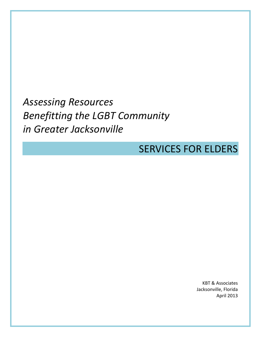*Assessing Resources Benefitting the LGBT Community in Greater Jacksonville*

# SERVICES FOR ELDERS

KBT & Associates Jacksonville, Florida April 2013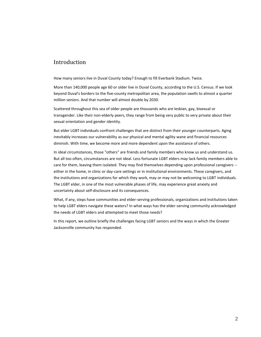## Introduction

How many seniors live in Duval County today? Enough to fill Everbank Stadium. Twice.

More than 140,000 people age 60 or older live in Duval County, according to the U.S. Census. If we look beyond Duval's borders to the five-county metropolitan area, the population swells to almost a quarter million seniors. And that number will almost double by 2030.

Scattered throughout this sea of older people are thousands who are lesbian, gay, bisexual or transgender. Like their non-elderly peers, they range from being very public to very private about their sexual orientation and gender identity.

But elder LGBT individuals confront challenges that are distinct from their younger counterparts. Aging inevitably increases our vulnerability as our physical and mental agility wane and financial resources diminish. With time, we become more and more dependent upon the assistance of others.

In ideal circumstances, those "others" are friends and family members who know us and understand us. But all too often, circumstances are not ideal. Less fortunate LGBT elders may lack family members able to care for them, leaving them isolated. They may find themselves depending upon professional caregivers - either in the home, in clinic or day-care settings or in institutional environments. These caregivers, and the institutions and organizations for which they work, may or may not be welcoming to LGBT individuals. The LGBT elder, in one of the most vulnerable phases of life, may experience great anxiety and uncertainty about self-disclosure and its consequences.

What, if any, steps have communities and elder-serving professionals, organizations and institutions taken to help LGBT elders navigate these waters? In what ways has the elder-serving community acknowledged the needs of LGBT elders and attempted to meet those needs?

In this report, we outline briefly the challenges facing LGBT seniors and the ways in which the Greater Jacksonville community has responded.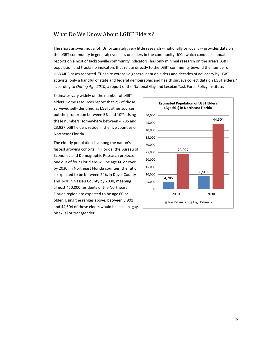## What Do We Know About LGBT Elders?

The short answer: not a lot. Unfortunately, very little research -- nationally or locally -- provides data on the LGBT community in general; even less on elders in the community. JCCI, which conducts annual reports on a host of Jacksonville community indicators, has only minimal research on the area's LGBT population and tracks no indicators that relate directly to the LGBT community beyond the number of HIV/AIDS cases reported. "Despite extensive general data on elders and decades of advocacy by LGBT activists, only a handful of state and federal demographic and health surveys collect data on LGBT elders," according to *Outing Age 2010*, a report of the National Gay and Lesbian Task Force Policy Institute.

Estimates vary widely on the number of LGBT elders. Some resources report that 2% of those surveyed self-identified as LGBT; other sources put the proportion between 5% and 10%. Using these numbers, somewhere between 4,785 and 23,927 LGBT elders reside in the five counties of Northeast Florida.

The elderly population is among the nation's fastest growing cohorts. In Florida, the Bureau of Economic and Demographic Research projects one out of four Floridians will be age 60 or over by 2030. In Northeast Florida counties, the ratio is expected to be between 24% in Duval County and 34% in Nassau County by 2030, meaning almost 450,000 residents of the Northeast Florida region are expected to be age 60 or older. Using the ranges above, between 8,901 and 44,504 of these elders would be lesbian, gay, bisexual or transgender.

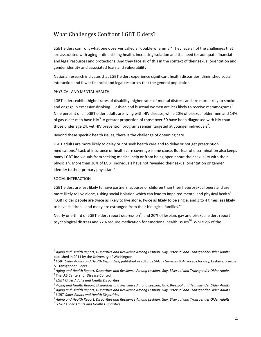# What Challenges Confront LGBT Elders?

LGBT elders confront what one observer called a "double whammy." They face all of the challenges that are associated with aging -- diminishing health, increasing isolation and the need for adequate financial and legal resources and protections. And they face all of this in the context of their sexual orientation and gender identity and associated fears and vulnerability.

National research indicates that LGBT elders experience significant health disparities, diminished social interaction and fewer financial and legal resources that the general population.

#### PHYSICAL AND MENTAL HEALTH

LGBT elders exhibit higher rates of disability, higher rates of mental distress and are more likely to smoke and engage in excessive drinking<sup>1</sup>. Lesbian and bisexual women are less likely to receive mammograms<sup>2</sup>. Nine percent of all LGBT older adults are living with HIV disease, while 20% of bisexual older men and 14% of gay older men have HIV<sup>3</sup>. A greater proportion of those over 50 have been diagnosed with HIV than those under age 24, yet HIV prevention programs remain targeted at younger individuals $^4$ .

Beyond these specific health issues, there is the challenge of obtaining care.

LGBT adults are more likely to delay or not seek health care and to delay or not get prescription medications.<sup>5</sup> Lack of insurance or health care coverage is one cause. But fear of discrimination also keeps many LGBT individuals from seeking medical help or from being open about their sexuality with their physician. More than 30% of LGBT individuals have not revealed their sexual orientation or gender identity to their primary physician. $^6$ 

#### SOCIAL INTERACTION

 $\overline{a}$ 

LGBT elders are less likely to have partners, spouses or children than their heterosexual peers and are more likely to live alone, risking social isolation which can lead to impaired mental and physical health<sup>7</sup>. "LGBT older people are twice as likely to live alone, twice as likely to be single, and 3 to 4 times less likely to have children—and many are estranged from their biological families."<sup>8</sup>

Nearly one-third of LGBT elders report depression<sup>9</sup>, and 20% of lesbian, gay and bisexual elders report psychological distress and 22% require medication for emotional health issues<sup>10</sup>. While 2% of the

<sup>1</sup> *Aging and Health Report, Disparities and Resilience Among Lesbian, Gay, Bisexual and Transgender Older Adults* published in 2011 by the University of Washington

<sup>2</sup> *LGBT Older Adults and Health Disparities*, published in 2010 by SAGE - Services & Advocacy for Gay, Lesbian, Bisexual & Transgender Elders

<sup>3</sup> *Aging and Health Report, Disparities and Resilience Among Lesbian, Gay, Bisexual and Transgender Older Adults.*

<sup>4</sup> The U.S Centers for Disease Control

<sup>5</sup> *LGBT Older Adults and Health Disparities*

<sup>6</sup> *Aging and Health Report, Disparities and Resilience Among Lesbian, Gay, Bisexual and Transgender Older Adults*

<sup>7</sup> *Aging and Health Report, Disparities and Resilience Among Lesbian, Gay, Bisexual and Transgender Older Adults.* 8 *LGBT Older Adults and Health Disparities*

<sup>9</sup> *Aging and Health Report, Disparities and Resilience Among Lesbian, Gay, Bisexual and Transgender Older Adults*

<sup>10</sup> *LGBT Older Adults and Health Disparities*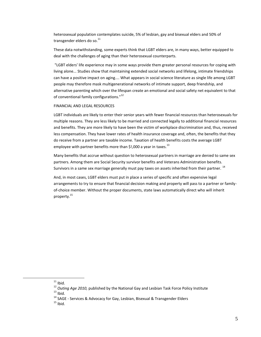heterosexual population contemplates suicide, 5% of lesbian, gay and bisexual elders and 50% of transgender elders do so. $^{11}$ 

These data notwithstanding, some experts think that LGBT elders are, in many ways, better equipped to deal with the challenges of aging than their heterosexual counterparts.

"LGBT elders' life experience may in some ways provide them greater personal resources for coping with living alone... Studies show that maintaining extended social networks and lifelong, intimate friendships can have a positive impact on aging.... What appears in social science literature as single life among LGBT people may therefore mask multigenerational networks of intimate support, deep friendship, and alternative parenting which over the lifespan create an emotional and social safety net equivalent to that of conventional family configurations."<sup>12</sup>

#### FINANCIAL AND LEGAL RESOURCES

LGBT individuals are likely to enter their senior years with fewer financial resources than heterosexuals for multiple reasons. They are less likely to be married and connected legally to additional financial resources and benefits. They are more likely to have been the victim of workplace discrimination and, thus, received less compensation. They have lower rates of health insurance coverage and, often, the benefits that they do receive from a partner are taxable income. Taxation of health benefits costs the average LGBT employee with partner benefits more than \$!,000 a year in taxes.<sup>13</sup>

Many benefits that accrue without question to heterosexual partners in marriage are denied to same sex partners. Among them are Social Security survivor benefits and Veterans Administration benefits. Survivors in a same sex marriage generally must pay taxes on assets inherited from their partner.  $^{14}$ 

And, in most cases, LGBT elders must put in place a series of specific and often expensive legal arrangements to try to ensure that financial decision making and property will pass to a partner or familyof-choice member. Without the proper documents, state laws automatically direct who will inherit property. 15

 $11$  Ibid.

<sup>12</sup> *Outing Age 2010,* published by the National Gay and Lesbian Task Force Policy Institute  $13$  Ibid.

 $14$  SAGE - Services & Advocacy for Gay, Lesbian, Bisexual & Transgender Elders

 $15$  Ibid.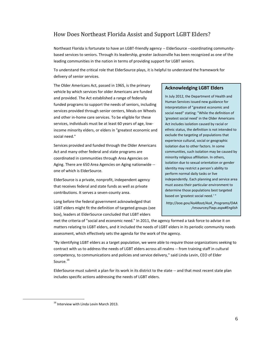# How Does Northeast Florida Assist and Support LGBT Elders?

Northeast Florida is fortunate to have an LGBT-friendly agency -- ElderSource --coordinating communitybased services to seniors. Through its leadership, greater Jacksonville has been recognized as one of the leading communities in the nation in terms of providing support for LGBT seniors.

To understand the critical role that ElderSource plays, it is helpful to understand the framework for delivery of senior services.

The Older Americans Act, passed in 1965, is the primary vehicle by which services for older Americans are funded and provided. The Act established a range of federally funded programs to support the needs of seniors, including services provided through senior centers, Meals on Wheels and other in-home care services. To be eligible for these services, individuals must be at least 60 years of age, lowincome minority elders, or elders in "greatest economic and social need."

Services provided and funded through the Older Americans Act and many other federal and state programs are coordinated in communities through Area Agencies on Aging. There are 650 Area Agencies on Aging nationwide - one of which is ElderSource.

ElderSource is a private, nonprofit, independent agency that receives federal and state funds as well as private contributions. It serves a seven-county area.

Long before the federal government acknowledged that LGBT elders might fit the definition of targeted groups (see box), leaders at ElderSource concluded that LGBT elders

#### **Acknowledging LGBT Elders**

In July 2012, the Department of Health and Human Services issued new guidance for interpretation of "greatest economic and social need" stating: "While the definition of 'greatest social need' in the Older Americans Act includes isolation caused by racial or ethnic status, the definition is not intended to exclude the targeting of populations that experience cultural, social or geographic isolation due to other factors. In some communities, such isolation may be caused by minority religious affiliation. In others, isolation due to sexual orientation or gender identity may restrict a person's ability to perform normal daily tasks or live independently. Each planning and service area must assess their particular environment to determine those populations best targeted based on 'greatest social need.' "

*http://aoa.gov/AoARoot/AoA\_Programs/OAA /resources/Faqs.aspx#English*

met the criteria of "social and economic need." In 2011, the agency formed a task force to advise it on matters relating to LGBT elders, and it included the needs of LGBT elders in its periodic community needs assessment, which effectively sets the agenda for the work of the agency.

"By identifying LGBT elders as a target population, we were able to require those organizations seeking to contract with us to address the needs of LGBT elders across all realms -- from training staff in cultural competency, to communications and policies and service delivery," said Linda Levin, CEO of Elder Source.<sup>16</sup>

ElderSource must submit a plan for its work in its district to the state -- and that most recent state plan includes specific actions addressing the needs of LGBT elders.

<sup>&</sup>lt;sup>16</sup> Interview with Linda Levin March 2013.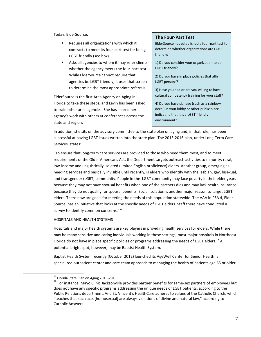Today, ElderSource:

- Requires all organizations with which it contracts to meet its four-part test for being LGBT friendly (see box).
- Asks all agencies to whom it may refer clients whether the agency meets the four-part test. While ElderSource cannot require that agencies be LGBT friendly, it uses that screen to determine the most appropriate referrals.

ElderSource is the first Area Agency on Aging in Florida to take these steps, and Levin has been asked to train other area agencies. She has shared her agency's work with others at conferences across the state and region.

#### **The Four-Part Test**

ElderSource has established a four-part test to determine whether organizations are LGBT friendly:

1) Do you consider your organization to be LGBT friendly?

2) Do you have in place policies that affirm LGBT persons?

3) Have you had or are you willing to have cultural competency training for your staff?

4) Do you have signage (such as a rainbow decal) in your lobby or other public place indicating that it is a LGBT friendly environment?

In addition, she sits on the advisory committee to the state plan on aging and, in that role, has been successful at having LGBT issues written into the state plan. The 2013-2016 plan, under Long-Term Care Services, states:

"To ensure that long-term care services are provided to those who need them most, and to meet requirements of the Older Americans Act, the Department targets outreach activities to minority, rural, low-income and linguistically isolated (limited English proficiency) elders. Another group, emerging as needing services and basically invisible until recently, is elders who identify with the lesbian, gay, bisexual, and transgender (LGBT) community. People in the LGBT community may face poverty in their elder years because they may not have spousal benefits when one of the partners dies and may lack health insurance because they do not qualify for spousal benefits. Social isolation is another major reason to target LGBT elders. There now are goals for meeting the needs of this population statewide. The AAA in PSA 4, Elder Source, has an initiative that looks at the specific needs of LGBT elders. Staff there have conducted a survey to identify common concerns."<sup>17</sup>

#### HOSPITALS AND HEALTH SYSTEMS

Hospitals and major health systems are key players in providing health services for elders. While there may be many sensitive and caring individuals working in these settings, most major hospitals in Northeast Florida do not have in place specific policies or programs addressing the needs of LGBT elders.<sup>18</sup> A potential bright spot, however, may be Baptist Health System.

Baptist Health System recently (October 2012) launched its AgeWell Center for Senior Health, a specialized outpatient center and care-team approach to managing the health of patients age 65 or older

<sup>&</sup>lt;sup>17</sup> Florida State Plan on Aging 2013-2016

<sup>&</sup>lt;sup>18</sup> For instance, Mayo Clinic Jacksonville provides partner benefits for same-sex partners of employees but does not have any specific programs addressing the unique needs of LGBT patients, according to the Public Relations department. And St. Vincent's HealthCare adheres to values of the Catholic Church, which "teaches that such acts [homosexual] are always violations of divine and natural law," according to Catholic Answers.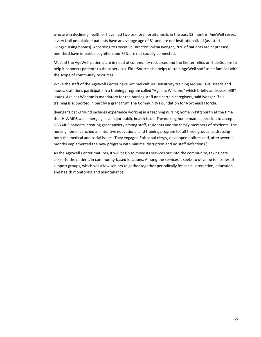who are in declining health or have had two or more hospital visits in the past 12 months. AgeWell serves a very frail population: patients have an average age of 81 and are not institutionalized (assisted living/nursing homes). According to Executive Director Shikha Iyengar, 70% of patients are depressed, one-third have impaired cognition and 75% are not socially connected.

Most of the AgeWell patients are in need of community resources and the Center relies on ElderSource to help it connects patients to these services. ElderSource also helps to train AgeWell staff to be familiar with the scope of community resources.

While the staff of the AgeWell Center have not had cultural sensitivity training around LGBT needs and issues, staff does participate in a training program called "Ageless Wisdom," which briefly addresses LGBT issues. Ageless Wisdom is mandatory for the nursing staff and certain caregivers, said Iyengar. This training is supported in part by a grant from The Community Foundation for Northeast Florida.

(Iyengar's background includes experience working in a teaching nursing home in Pittsburgh at the time that HIV/AIDS was emerging as a major public health issue. The nursing home made a decision to accept HIV/AIDS patients, creating great anxiety among staff, residents and the family members of residents. The nursing home launched an intensive educational and training program for all three groups, addressing both the medical and social issues. They engaged Episcopal clergy, developed policies and, after several months implemented the new program with minimal disruption and no staff defections.)

As the AgeWell Center matures, it will begin to move its services out into the community, taking care closer to the patient, in community-based locations. Among the services it seeks to develop is a series of support groups, which will allow seniors to gather together periodically for social interaction, education and health monitoring and maintenance.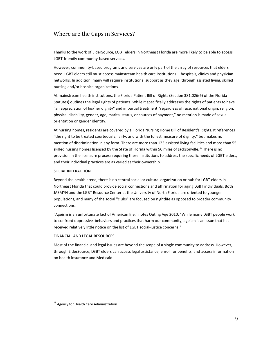# Where are the Gaps in Services?

Thanks to the work of ElderSource, LGBT elders in Northeast Florida are more likely to be able to access LGBT-friendly community-based services.

However, community-based programs and services are only part of the array of resources that elders need. LGBT elders still must access mainstream health care institutions -- hospitals, clinics and physician networks. In addition, many will require institutional support as they age, through assisted living, skilled nursing and/or hospice organizations.

At mainstream health institutions, the Florida Patient Bill of Rights (Section 381.026(6) of the Florida Statutes) outlines the legal rights of patients. While it specifically addresses the rights of patients to have "an appreciation of his/her dignity" and impartial treatment "regardless of race, national origin, religion, physical disability, gender, age, marital status, or sources of payment," no mention is made of sexual orientation or gender identity.

At nursing homes, residents are covered by a Florida Nursing Home Bill of Resident's Rights. It references "the right to be treated courteously, fairly, and with the fullest measure of dignity," but makes no mention of discrimination in any form. There are more than 125 assisted living facilities and more than 55 skilled nursing homes licensed by the State of Florida within 50 miles of Jacksonville.<sup>19</sup> There is no provision in the licensure process requiring these institutions to address the specific needs of LGBT elders, and their individual practices are as varied as their ownership.

#### SOCIAL INTERACTION

Beyond the health arena, there is no central social or cultural organization or hub for LGBT elders in Northeast Florida that could provide social connections and affirmation for aging LGBT individuals. Both JASMYN and the LGBT Resource Center at the University of North Florida are oriented to younger populations, and many of the social "clubs" are focused on nightlife as opposed to broader community connections.

"Ageism is an unfortunate fact of American life," notes Outing Age 2010. "While many LGBT people work to confront oppressive behaviors and practices that harm our community, ageism is an issue that has received relatively little notice on the list of LGBT social-justice concerns."

#### FINANCIAL AND LEGAL RESOURCES

Most of the financial and legal issues are beyond the scope of a single community to address. However, through ElderSource, LGBT elders can access legal assistance, enroll for benefits, and access information on health insurance and Medicaid.

<sup>&</sup>lt;sup>19</sup> Agency for Health Care Administration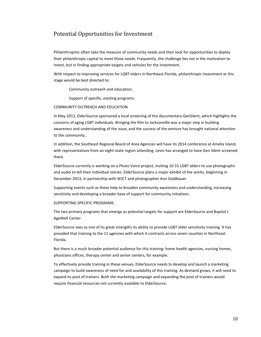# Potential Opportunities for Investment

Philanthropists often take the measure of community needs and then look for opportunities to deploy their philanthropic capital to meet those needs. Frequently, the challenge lies not in the motivation to invest, but in finding appropriate targets and vehicles for the investment.

With respect to improving services for LGBT elders in Northeast Florida, philanthropic investment at this stage would be best directed to:

Community outreach and education;

Support of specific, existing programs.

#### COMMUNITY OUTREACH AND EDUCATION

In May 2012, ElderSource sponsored a local screening of the documentary GenSilent, which highlights the concerns of aging LGBT individuals. Bringing the film to Jacksonville was a major step in building awareness and understanding of the issue, and the success of the venture has brought national attention to the community..

In addition, the Southeast Regional Board of Area Agencies will have its 2014 conference at Amelia Island, with representatives from an eight-state region attending. Levin has arranged to have Gen Silent screened there.

ElderSource currently is working on a Photo Voice project, inviting 10-15 LGBT elders to use photographs and audio to tell their individual stories. ElderSource plans a major exhibit of the works, beginning in December 2013, in partnership with WJCT and photographer Ann Goldbauer.

Supporting events such as these help to broaden community awareness and understanding, increasing sensitivity and developing a broader base of support for community initiatives.

#### SUPPORTING SPECIFIC PROGRAMS

The two primary programs that emerge as potential targets for support are ElderSource and Baptist's AgeWell Center.

ElderSource sees as one of its great strengths its ability to provide LGBT elder sensitivity training. It has provided that training to the 11 agencies with which it contracts across seven counties in Northeast Florida.

But there is a much broader potential audience for this training: home health agencies, nursing homes, physicians offices, therapy center and senior centers, for example.

To effectively provide training in these venues, ElderSource needs to develop and launch a marketing campaign to build awareness of need for and availability of this training. As demand grows, it will need to expand its pool of trainers. Both the marketing campaign and expanding the pool of trainers would require financial resources not currently available to ElderSource.